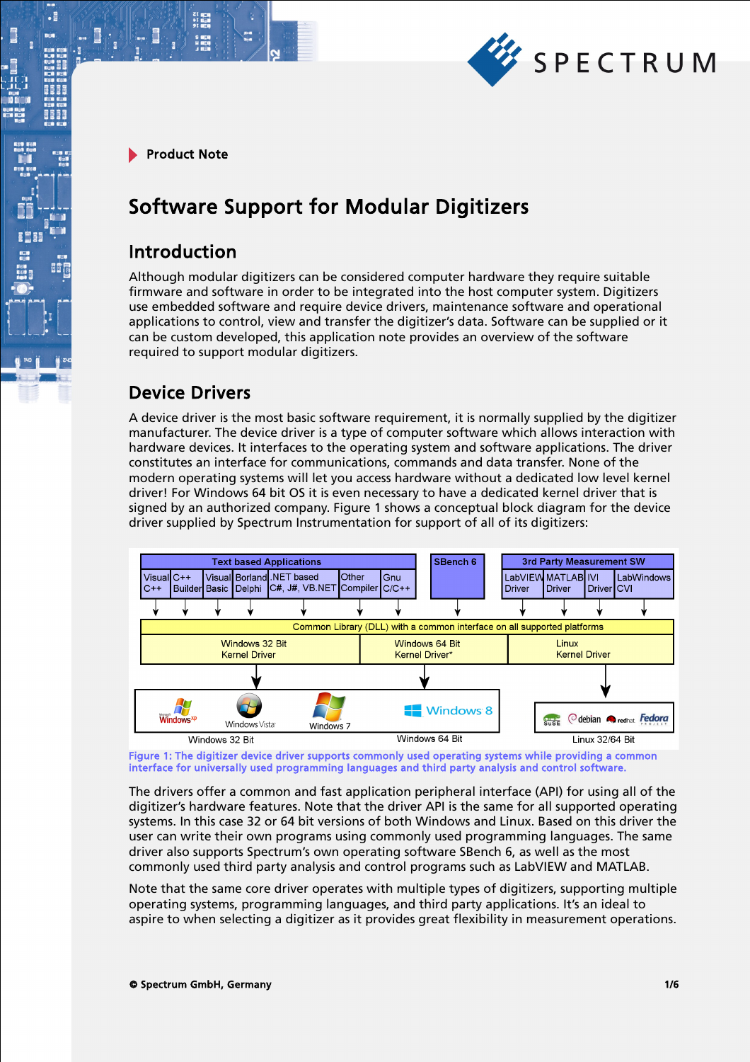

.

# Software Support for Modular Digitizers

### Introduction

Although modular digitizers can be considered computer hardware they require suitable firmware and software in order to be integrated into the host computer system. Digitizers use embedded software and require device drivers, maintenance software and operational applications to control, view and transfer the digitizer's data. Software can be supplied or it can be custom developed, this application note provides an overview of the software required to support modular digitizers.

# Device Drivers

A device driver is the most basic software requirement, it is normally supplied by the digitizer manufacturer. The device driver is a type of computer software which allows interaction with hardware devices. It interfaces to the operating system and software applications. The driver constitutes an interface for communications, commands and data transfer. None of the modern operating systems will let you access hardware without a dedicated low level kernel driver! For Windows 64 bit OS it is even necessary to have a dedicated kernel driver that is signed by an authorized company. Figure 1 shows a conceptual block diagram for the device driver supplied by Spectrum Instrumentation for support of all of its digitizers:



Figure 1: The digitizer device driver supports commonly used operating systems while providing a common interface for universally used programming languages and third party analysis and control software.

The drivers offer a common and fast application peripheral interface (API) for using all of the digitizer's hardware features. Note that the driver API is the same for all supported operating systems. In this case 32 or 64 bit versions of both Windows and Linux. Based on this driver the user can write their own programs using commonly used programming languages. The same driver also supports Spectrum's own operating software SBench 6, as well as the most commonly used third party analysis and control programs such as LabVIEW and MATLAB.

Note that the same core driver operates with multiple types of digitizers, supporting multiple operating systems, programming languages, and third party applications. It's an ideal to aspire to when selecting a digitizer as it provides great flexibility in measurement operations.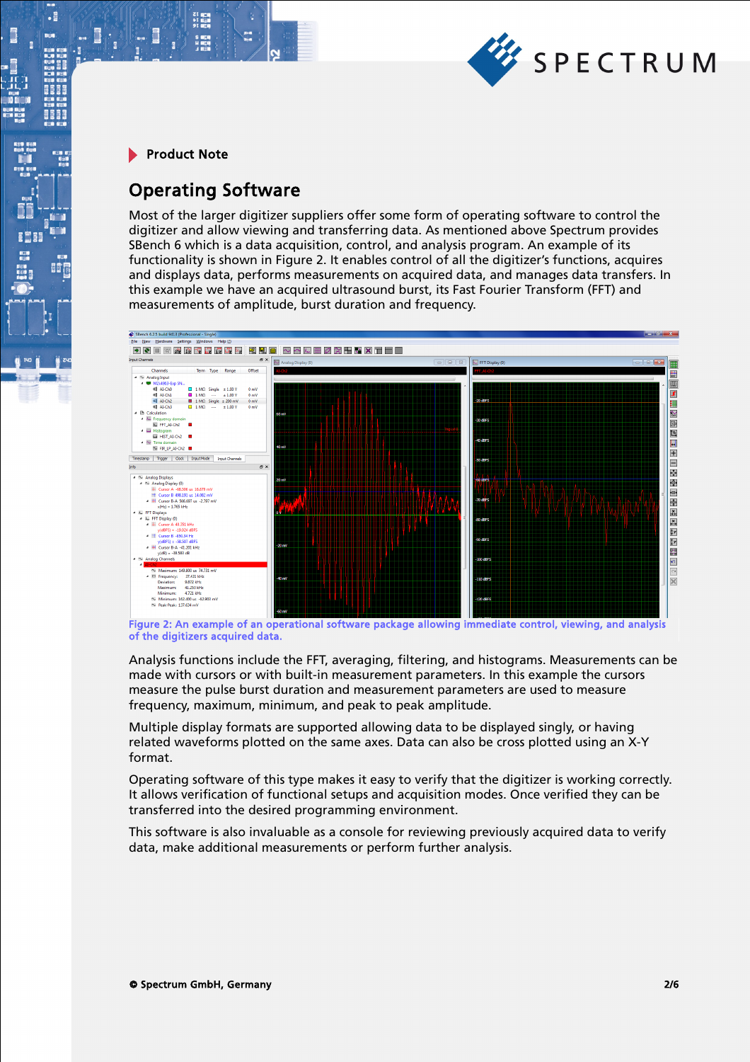

 $\cdot$ 

m.

E

8668

BÔ

## Operating Software

21 mgm<br>41 mgm<br>91 mgm

Most of the larger digitizer suppliers offer some form of operating software to control the digitizer and allow viewing and transferring data. As mentioned above Spectrum provides SBench 6 which is a data acquisition, control, and analysis program. An example of its functionality is shown in Figure 2. It enables control of all the digitizer's functions, acquires and displays data, performs measurements on acquired data, and manages data transfers. In this example we have an acquired ultrasound burst, its Fast Fourier Transform (FFT) and measurements of amplitude, burst duration and frequency.



Figure 2: An example of an operational software package allowing immediate control, viewing, and analysis of the digitizers acquired data.

Analysis functions include the FFT, averaging, filtering, and histograms. Measurements can be made with cursors or with built-in measurement parameters. In this example the cursors measure the pulse burst duration and measurement parameters are used to measure frequency, maximum, minimum, and peak to peak amplitude.

Multiple display formats are supported allowing data to be displayed singly, or having related waveforms plotted on the same axes. Data can also be cross plotted using an X-Y format.

Operating software of this type makes it easy to verify that the digitizer is working correctly. It allows verification of functional setups and acquisition modes. Once verified they can be transferred into the desired programming environment.

This software is also invaluable as a console for reviewing previously acquired data to verify data, make additional measurements or perform further analysis.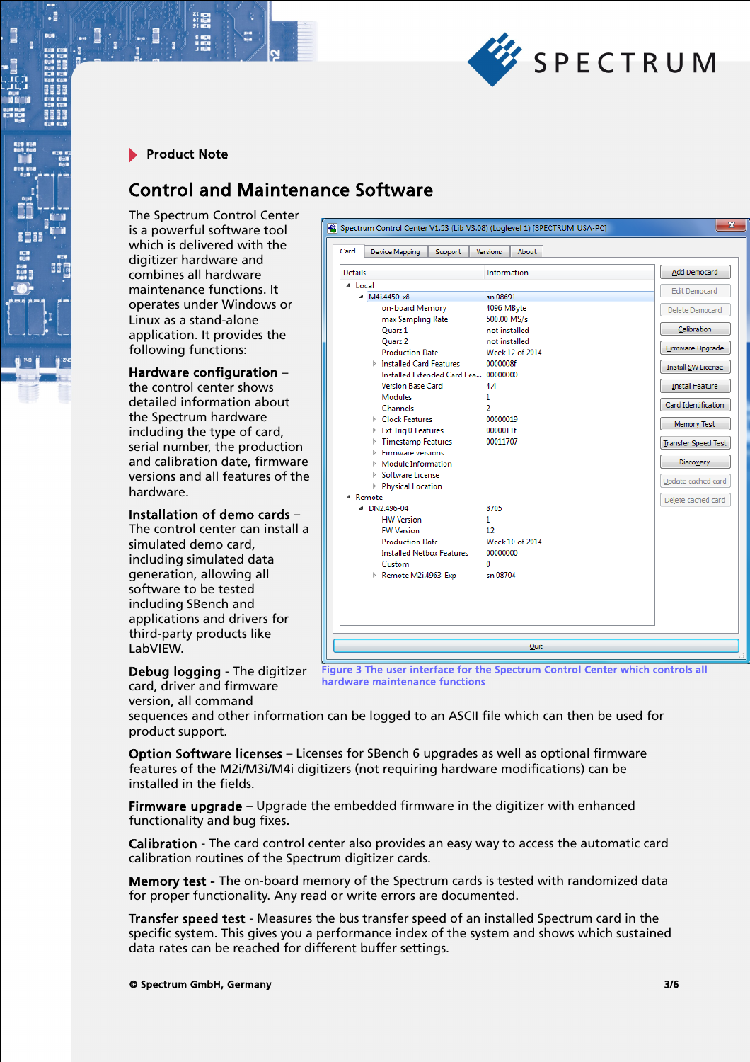

.

# Control and Maintenance Software

The Spectrum Control Center is a powerful software tool which is delivered with the digitizer hardware and combines all hardware maintenance functions. It operates under Windows or Linux as a stand-alone application. It provides the following functions:

#### Hardware configuration –

the control center shows detailed information about the Spectrum hardware including the type of card, serial number, the production and calibration date, firmware versions and all features of the hardware.

#### Installation of demo cards –

The control center can install a simulated demo card, including simulated data generation, allowing all software to be tested including SBench and applications and drivers for third-party products like LabVIEW.

| Card<br>Device Mapping<br>Support             | About<br><b>Versions</b> |                           |
|-----------------------------------------------|--------------------------|---------------------------|
| <b>Details</b>                                | Information              | Add Democard              |
| 4 Local                                       |                          | <b>Edit Democard</b>      |
| $\triangleleft$ M4i.4450-x8                   | sn 08691                 |                           |
| on-board Memory                               | 4096 MByte               | Delete Democard           |
| max Sampling Rate                             | 500.00 MS/s              |                           |
| Quarz 1                                       | not installed            | Calibration               |
| Quarz 2                                       | not installed            | <b>Eirmware Upgrade</b>   |
| <b>Production Date</b>                        | Week 12 of 2014          |                           |
| $\triangleright$ Installed Card Features      | 0000008f                 | <b>Install SW License</b> |
| Installed Extended Card Fea 00000000          |                          |                           |
| <b>Version Base Card</b>                      | 4.4                      | <b>Install Feature</b>    |
| <b>Modules</b>                                | 1.                       | Card Identification       |
| Channels                                      | 2                        |                           |
| $\triangleright$ Clock Features               | 00000019                 | Memory Test               |
| ▷ Ext Trig 0 Features<br>▷ Timestamp Features | 0000011f<br>00011707     |                           |
| $\triangleright$ Firmware versions            |                          | Transfer Speed Test       |
| $\triangleright$ Module Information           |                          | <b>Discovery</b>          |
| <b>Software License</b>                       |                          |                           |
| <b>Physical Location</b>                      |                          | Update cached card        |
| 4 Remote                                      |                          |                           |
| ■ DN2,496-04                                  | 8705                     | Delete cached card        |
| <b>HW Version</b>                             | 1.                       |                           |
| <b>FW Version</b>                             | 12                       |                           |
| <b>Production Date</b>                        | Week 10 of 2014          |                           |
| <b>Installed Netbox Features</b>              | 00000000                 |                           |
| Custom                                        | n                        |                           |
| Remote M2i.4963-Exp                           | sn 08704                 |                           |
|                                               |                          |                           |
|                                               |                          |                           |
|                                               |                          |                           |
|                                               |                          |                           |

Debug logging - The digitizer card, driver and firmware version, all command

Figure 3 The user interface for the Spectrum Control Center which controls all hardware maintenance functions

sequences and other information can be logged to an ASCII file which can then be used for product support.

Option Software licenses – Licenses for SBench 6 upgrades as well as optional firmware features of the M2i/M3i/M4i digitizers (not requiring hardware modifications) can be installed in the fields.

Firmware upgrade - Upgrade the embedded firmware in the digitizer with enhanced functionality and bug fixes.

Calibration - The card control center also provides an easy way to access the automatic card calibration routines of the Spectrum digitizer cards.

Memory test - The on-board memory of the Spectrum cards is tested with randomized data for proper functionality. Any read or write errors are documented.

Transfer speed test - Measures the bus transfer speed of an installed Spectrum card in the specific system. This gives you a performance index of the system and shows which sustained data rates can be reached for different buffer settings.

© Spectrum GmbH, Germany 3/6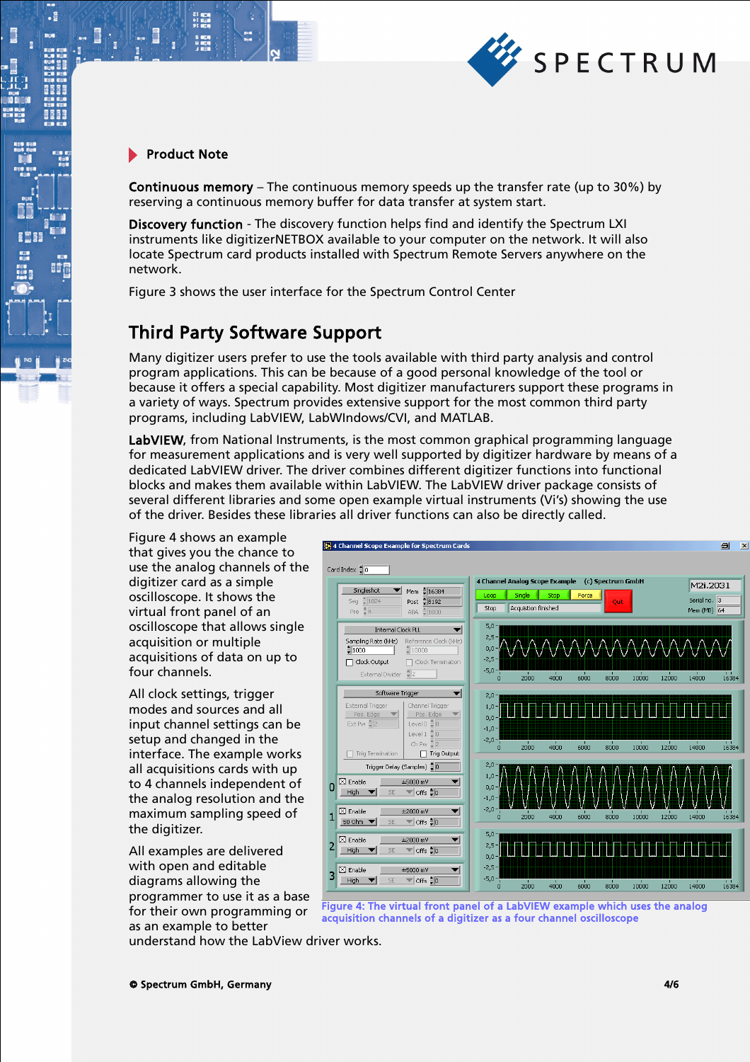

21 年11<br>11 年11<br>91 年11

 $\cdot$ 

**BEEF** 

BÔ

Continuous memory – The continuous memory speeds up the transfer rate (up to 30%) by reserving a continuous memory buffer for data transfer at system start.

Discovery function - The discovery function helps find and identify the Spectrum LXI instruments like digitizerNETBOX available to your computer on the network. It will also locate Spectrum card products installed with Spectrum Remote Servers anywhere on the network.

Figure 3 shows the user interface for the Spectrum Control Center

### Third Party Software Support

Many digitizer users prefer to use the tools available with third party analysis and control program applications. This can be because of a good personal knowledge of the tool or because it offers a special capability. Most digitizer manufacturers support these programs in a variety of ways. Spectrum provides extensive support for the most common third party programs, including LabVIEW, LabWIndows/CVI, and MATLAB.

LabVIEW, from National Instruments, is the most common graphical programming language for measurement applications and is very well supported by digitizer hardware by means of a dedicated LabVIEW driver. The driver combines different digitizer functions into functional blocks and makes them available within LabVIEW. The LabVIEW driver package consists of several different libraries and some open example virtual instruments (Vi's) showing the use of the driver. Besides these libraries all driver functions can also be directly called.

Figure 4 shows an example that gives you the chance to use the analog channels of the digitizer card as a simple oscilloscope. It shows the virtual front panel of an oscilloscope that allows single acquisition or multiple acquisitions of data on up to four channels.

All clock settings, trigger modes and sources and all input channel settings can be setup and changed in the interface. The example works all acquisitions cards with up to 4 channels independent of the analog resolution and the maximum sampling speed of the digitizer.

All examples are delivered with open and editable diagrams allowing the programmer to use it as a base for their own programming or as an example to better



Figure 4: The virtual front panel of a LabVIEW example which uses the analog acquisition channels of a digitizer as a four channel oscilloscope

understand how the LabView driver works.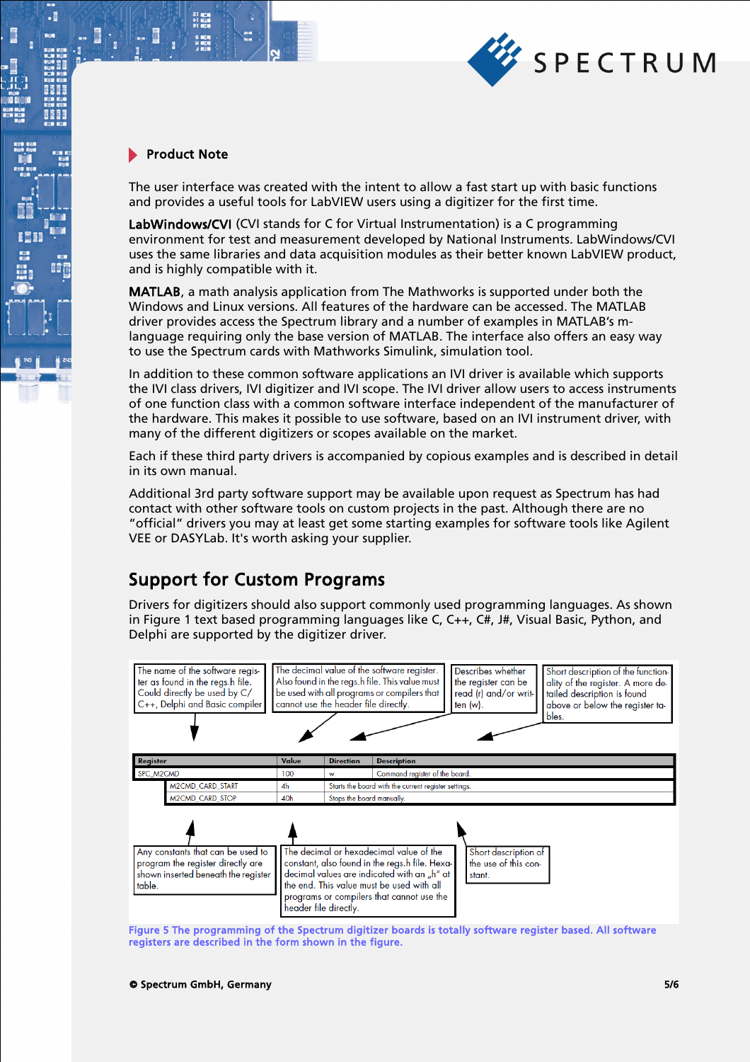

18. O

21 mg<br>サービス<br>91 mg

 $\cdot$ 

**BEEF** 

**II** 

The user interface was created with the intent to allow a fast start up with basic functions and provides a useful tools for LabVIEW users using a digitizer for the first time.

LabWindows/CVI (CVI stands for C for Virtual Instrumentation) is a C programming environment for test and measurement developed by National Instruments. LabWindows/CVI uses the same libraries and data acquisition modules as their better known LabVIEW product, and is highly compatible with it.

MATLAB, a math analysis application from The Mathworks is supported under both the Windows and Linux versions. All features of the hardware can be accessed. The MATLAB driver provides access the Spectrum library and a number of examples in MATLAB's mlanguage requiring only the base version of MATLAB. The interface also offers an easy way to use the Spectrum cards with Mathworks Simulink, simulation tool.

In addition to these common software applications an IVI driver is available which supports the IVI class drivers, IVI digitizer and IVI scope. The IVI driver allow users to access instruments of one function class with a common software interface independent of the manufacturer of the hardware. This makes it possible to use software, based on an IVI instrument driver, with many of the different digitizers or scopes available on the market.

Each if these third party drivers is accompanied by copious examples and is described in detail in its own manual.

Additional 3rd party software support may be available upon request as Spectrum has had contact with other software tools on custom projects in the past. Although there are no "official" drivers you may at least get some starting examples for software tools like Agilent VEE or DASYLab. It's worth asking your supplier.

### Support for Custom Programs

Drivers for digitizers should also support commonly used programming languages. As shown in Figure 1 text based programming languages like C, C++, C#, J#, Visual Basic, Python, and Delphi are supported by the digitizer driver.



Figure 5 The programming of the Spectrum digitizer boards is totally software register based. All software registers are described in the form shown in the figure.